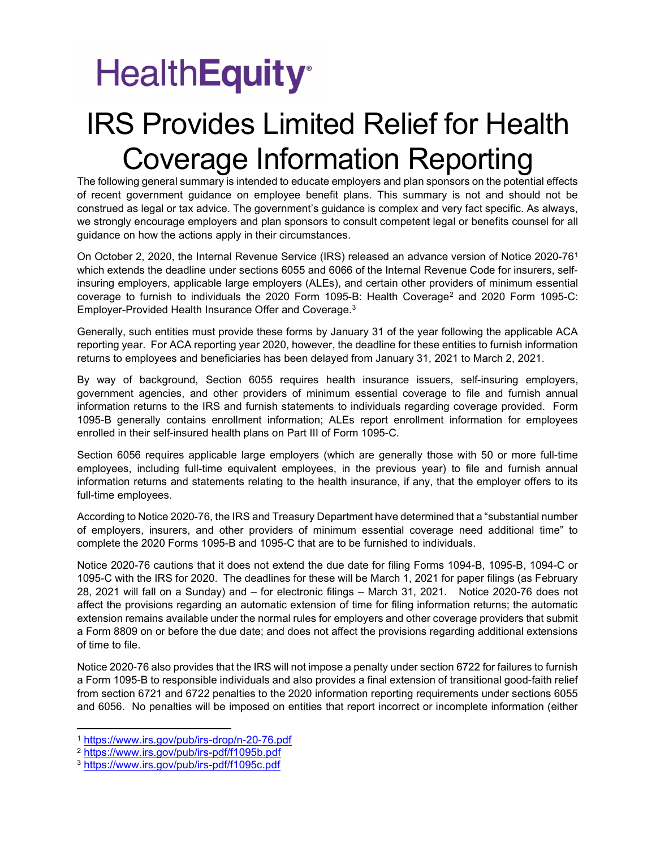## **HealthEquity**<sup>®</sup>

## IRS Provides Limited Relief for Health Coverage Information Reporting

The following general summary is intended to educate employers and plan sponsors on the potential effects of recent government guidance on employee benefit plans. This summary is not and should not be construed as legal or tax advice. The government's guidance is complex and very fact specific. As always, we strongly encourage employers and plan sponsors to consult competent legal or benefits counsel for all guidance on how the actions apply in their circumstances.

On October 2, 2020, the Internal Revenue Service (IRS) released an advance version of Notice 2020-76<sup>1</sup> which extends the deadline under sections 6055 and 6066 of the Internal Revenue Code for insurers, selfinsuring employers, applicable large employers (ALEs), and certain other providers of minimum essential coverage to furnish to individuals the 2020 Form 1095-B: Health Coverage<sup>2</sup> and 2020 Form 1095-C: Employer-Provided Health Insurance Offer and Coverage.<sup>3</sup>

Generally, such entities must provide these forms by January 31 of the year following the applicable ACA reporting year. For ACA reporting year 2020, however, the deadline for these entities to furnish information returns to employees and beneficiaries has been delayed from January 31, 2021 to March 2, 2021.

By way of background, Section 6055 requires health insurance issuers, self-insuring employers, government agencies, and other providers of minimum essential coverage to file and furnish annual information returns to the IRS and furnish statements to individuals regarding coverage provided. Form 1095-B generally contains enrollment information; ALEs report enrollment information for employees enrolled in their self-insured health plans on Part III of Form 1095-C.

Section 6056 requires applicable large employers (which are generally those with 50 or more full-time employees, including full-time equivalent employees, in the previous year) to file and furnish annual information returns and statements relating to the health insurance, if any, that the employer offers to its full-time employees.

According to Notice 2020-76, the IRS and Treasury Department have determined that a "substantial number of employers, insurers, and other providers of minimum essential coverage need additional time" to complete the 2020 Forms 1095-B and 1095-C that are to be furnished to individuals.

Notice 2020-76 cautions that it does not extend the due date for filing Forms 1094-B, 1095-B, 1094-C or 1095-C with the IRS for 2020. The deadlines for these will be March 1, 2021 for paper filings (as February 28, 2021 will fall on a Sunday) and – for electronic filings – March 31, 2021. Notice 2020-76 does not affect the provisions regarding an automatic extension of time for filing information returns; the automatic extension remains available under the normal rules for employers and other coverage providers that submit a Form 8809 on or before the due date; and does not affect the provisions regarding additional extensions of time to file.

Notice 2020-76 also provides that the IRS will not impose a penalty under section 6722 for failures to furnish a Form 1095-B to responsible individuals and also provides a final extension of transitional good-faith relief from section 6721 and 6722 penalties to the 2020 information reporting requirements under sections 6055 and 6056. No penalties will be imposed on entities that report incorrect or incomplete information (either

<sup>1</sup> https://www.irs.gov/pub/irs-drop/n-20-76.pdf

<sup>2</sup> https://www.irs.gov/pub/irs-pdf/f1095b.pdf

<sup>3</sup> https://www.irs.gov/pub/irs-pdf/f1095c.pdf